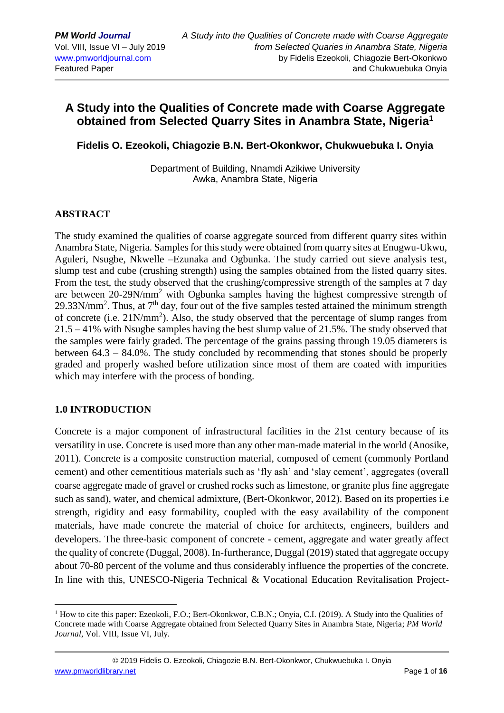# **A Study into the Qualities of Concrete made with Coarse Aggregate obtained from Selected Quarry Sites in Anambra State, Nigeria<sup>1</sup>**

**Fidelis O. Ezeokoli, Chiagozie B.N. Bert-Okonkwor, Chukwuebuka I. Onyia**

Department of Building, Nnamdi Azikiwe University Awka, Anambra State, Nigeria

### **ABSTRACT**

The study examined the qualities of coarse aggregate sourced from different quarry sites within Anambra State, Nigeria. Samples for this study were obtained from quarry sites at Enugwu-Ukwu, Aguleri, Nsugbe, Nkwelle –Ezunaka and Ogbunka. The study carried out sieve analysis test, slump test and cube (crushing strength) using the samples obtained from the listed quarry sites. From the test, the study observed that the crushing/compressive strength of the samples at 7 day are between 20-29N/mm<sup>2</sup> with Ogbunka samples having the highest compressive strength of  $29.33$ N/mm<sup>2</sup>. Thus, at  $7<sup>th</sup>$  day, four out of the five samples tested attained the minimum strength of concrete (i.e.  $21N/mm^2$ ). Also, the study observed that the percentage of slump ranges from 21.5 – 41% with Nsugbe samples having the best slump value of 21.5%. The study observed that the samples were fairly graded. The percentage of the grains passing through 19.05 diameters is between 64.3 – 84.0%. The study concluded by recommending that stones should be properly graded and properly washed before utilization since most of them are coated with impurities which may interfere with the process of bonding.

#### **1.0 INTRODUCTION**

1

Concrete is a major component of infrastructural facilities in the 21st century because of its versatility in use. Concrete is used more than any other man-made material in the world (Anosike, 2011). Concrete is a composite construction material, composed of cement (commonly Portland cement) and other cementitious materials such as 'fly ash' and 'slay cement', aggregates (overall coarse aggregate made of gravel or crushed rocks such as limestone, or granite plus fine aggregate such as sand), water, and chemical admixture, (Bert-Okonkwor, 2012). Based on its properties i.e strength, rigidity and easy formability, coupled with the easy availability of the component materials, have made concrete the material of choice for architects, engineers, builders and developers. The three-basic component of concrete - cement, aggregate and water greatly affect the quality of concrete (Duggal, 2008). In-furtherance, Duggal (2019) stated that aggregate occupy about 70-80 percent of the volume and thus considerably influence the properties of the concrete. In line with this, UNESCO-Nigeria Technical & Vocational Education Revitalisation Project-

 $<sup>1</sup>$  How to cite this paper: Ezeokoli, F.O.; Bert-Okonkwor, C.B.N.; Onyia, C.I. (2019). A Study into the Qualities of</sup> Concrete made with Coarse Aggregate obtained from Selected Quarry Sites in Anambra State, Nigeria; *PM World Journal*, Vol. VIII, Issue VI, July.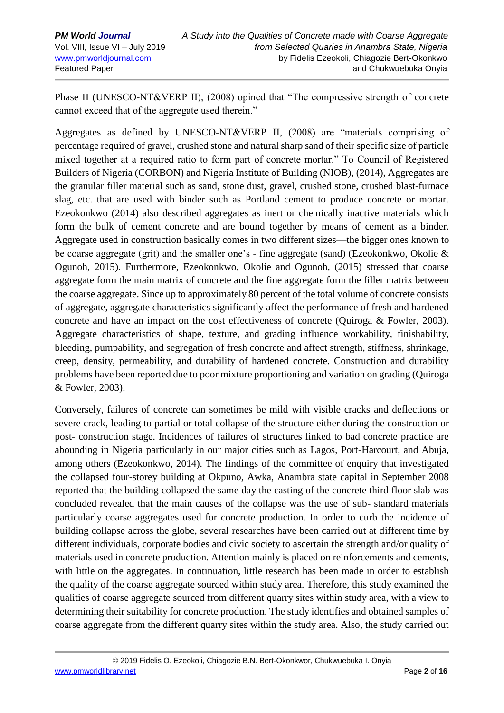Phase II (UNESCO-NT&VERP II), (2008) opined that "The compressive strength of concrete cannot exceed that of the aggregate used therein."

Aggregates as defined by UNESCO-NT&VERP II, (2008) are "materials comprising of percentage required of gravel, crushed stone and natural sharp sand of their specific size of particle mixed together at a required ratio to form part of concrete mortar." To Council of Registered Builders of Nigeria (CORBON) and Nigeria Institute of Building (NIOB), (2014), Aggregates are the granular filler material such as sand, stone dust, gravel, crushed stone, crushed blast-furnace slag, etc. that are used with binder such as Portland cement to produce concrete or mortar. Ezeokonkwo (2014) also described aggregates as inert or chemically inactive materials which form the bulk of cement concrete and are bound together by means of cement as a binder. Aggregate used in construction basically comes in two different sizes—the bigger ones known to be coarse aggregate (grit) and the smaller one's - fine aggregate (sand) (Ezeokonkwo, Okolie & Ogunoh, 2015). Furthermore, Ezeokonkwo, Okolie and Ogunoh, (2015) stressed that coarse aggregate form the main matrix of concrete and the fine aggregate form the filler matrix between the coarse aggregate. Since up to approximately 80 percent of the total volume of concrete consists of aggregate, aggregate characteristics significantly affect the performance of fresh and hardened concrete and have an impact on the cost effectiveness of concrete (Quiroga & Fowler, 2003). Aggregate characteristics of shape, texture, and grading influence workability, finishability, bleeding, pumpability, and segregation of fresh concrete and affect strength, stiffness, shrinkage, creep, density, permeability, and durability of hardened concrete. Construction and durability problems have been reported due to poor mixture proportioning and variation on grading (Quiroga & Fowler, 2003).

Conversely, failures of concrete can sometimes be mild with visible cracks and deflections or severe crack, leading to partial or total collapse of the structure either during the construction or post- construction stage. Incidences of failures of structures linked to bad concrete practice are abounding in Nigeria particularly in our major cities such as Lagos, Port-Harcourt, and Abuja, among others (Ezeokonkwo, 2014). The findings of the committee of enquiry that investigated the collapsed four-storey building at Okpuno, Awka, Anambra state capital in September 2008 reported that the building collapsed the same day the casting of the concrete third floor slab was concluded revealed that the main causes of the collapse was the use of sub- standard materials particularly coarse aggregates used for concrete production. In order to curb the incidence of building collapse across the globe, several researches have been carried out at different time by different individuals, corporate bodies and civic society to ascertain the strength and/or quality of materials used in concrete production. Attention mainly is placed on reinforcements and cements, with little on the aggregates. In continuation, little research has been made in order to establish the quality of the coarse aggregate sourced within study area. Therefore, this study examined the qualities of coarse aggregate sourced from different quarry sites within study area, with a view to determining their suitability for concrete production. The study identifies and obtained samples of coarse aggregate from the different quarry sites within the study area. Also, the study carried out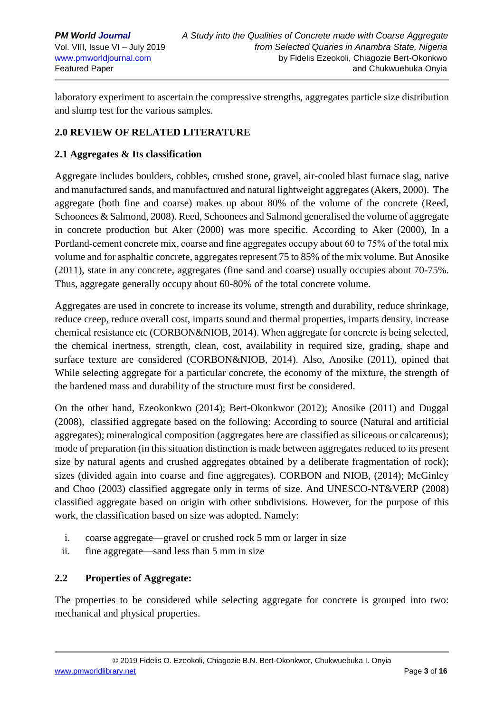laboratory experiment to ascertain the compressive strengths, aggregates particle size distribution and slump test for the various samples.

# **2.0 REVIEW OF RELATED LITERATURE**

### **2.1 Aggregates & Its classification**

Aggregate includes boulders, cobbles, crushed stone, gravel, air-cooled blast furnace slag, native and manufactured sands, and manufactured and natural lightweight aggregates (Akers, 2000). The aggregate (both fine and coarse) makes up about 80% of the volume of the concrete (Reed, Schoonees & Salmond, 2008). Reed, Schoonees and Salmond generalised the volume of aggregate in concrete production but Aker (2000) was more specific. According to Aker (2000), In a Portland-cement concrete mix, coarse and fine aggregates occupy about 60 to 75% of the total mix volume and for asphaltic concrete, aggregates represent 75 to 85% of the mix volume. But Anosike (2011), state in any concrete, aggregates (fine sand and coarse) usually occupies about 70-75%. Thus, aggregate generally occupy about 60-80% of the total concrete volume.

Aggregates are used in concrete to increase its volume, strength and durability, reduce shrinkage, reduce creep, reduce overall cost, imparts sound and thermal properties, imparts density, increase chemical resistance etc (CORBON&NIOB, 2014). When aggregate for concrete is being selected, the chemical inertness, strength, clean, cost, availability in required size, grading, shape and surface texture are considered (CORBON&NIOB, 2014). Also, Anosike (2011), opined that While selecting aggregate for a particular concrete, the economy of the mixture, the strength of the hardened mass and durability of the structure must first be considered.

On the other hand, Ezeokonkwo (2014); Bert-Okonkwor (2012); Anosike (2011) and Duggal (2008), classified aggregate based on the following: According to source (Natural and artificial aggregates); mineralogical composition (aggregates here are classified as siliceous or calcareous); mode of preparation (in this situation distinction is made between aggregates reduced to its present size by natural agents and crushed aggregates obtained by a deliberate fragmentation of rock); sizes (divided again into coarse and fine aggregates). CORBON and NIOB, (2014); McGinley and Choo (2003) classified aggregate only in terms of size. And UNESCO-NT&VERP (2008) classified aggregate based on origin with other subdivisions. However, for the purpose of this work, the classification based on size was adopted. Namely:

- i. coarse aggregate—gravel or crushed rock 5 mm or larger in size
- ii. fine aggregate—sand less than 5 mm in size

# **2.2 Properties of Aggregate:**

The properties to be considered while selecting aggregate for concrete is grouped into two: mechanical and physical properties.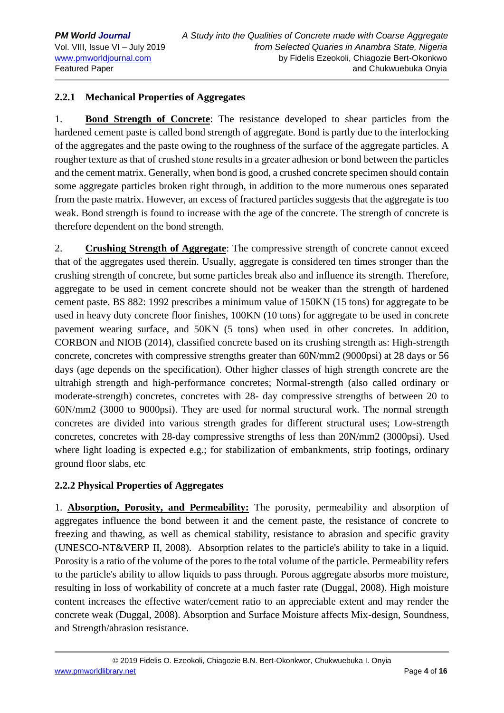# **2.2.1 Mechanical Properties of Aggregates**

1. **Bond Strength of Concrete**: The resistance developed to shear particles from the hardened cement paste is called bond strength of aggregate. Bond is partly due to the interlocking of the aggregates and the paste owing to the roughness of the surface of the aggregate particles. A rougher texture as that of crushed stone results in a greater adhesion or bond between the particles and the cement matrix. Generally, when bond is good, a crushed concrete specimen should contain some aggregate particles broken right through, in addition to the more numerous ones separated from the paste matrix. However, an excess of fractured particles suggests that the aggregate is too weak. Bond strength is found to increase with the age of the concrete. The strength of concrete is therefore dependent on the bond strength.

2. **Crushing Strength of Aggregate**: The compressive strength of concrete cannot exceed that of the aggregates used therein. Usually, aggregate is considered ten times stronger than the crushing strength of concrete, but some particles break also and influence its strength. Therefore, aggregate to be used in cement concrete should not be weaker than the strength of hardened cement paste. BS 882: 1992 prescribes a minimum value of 150KN (15 tons) for aggregate to be used in heavy duty concrete floor finishes, 100KN (10 tons) for aggregate to be used in concrete pavement wearing surface, and 50KN (5 tons) when used in other concretes. In addition, CORBON and NIOB (2014), classified concrete based on its crushing strength as: High-strength concrete, concretes with compressive strengths greater than 60N/mm2 (9000psi) at 28 days or 56 days (age depends on the specification). Other higher classes of high strength concrete are the ultrahigh strength and high-performance concretes; Normal-strength (also called ordinary or moderate-strength) concretes, concretes with 28- day compressive strengths of between 20 to 60N/mm2 (3000 to 9000psi). They are used for normal structural work. The normal strength concretes are divided into various strength grades for different structural uses; Low-strength concretes, concretes with 28-day compressive strengths of less than 20N/mm2 (3000psi). Used where light loading is expected e.g.; for stabilization of embankments, strip footings, ordinary ground floor slabs, etc

### **2.2.2 Physical Properties of Aggregates**

1. **Absorption, Porosity, and Permeability:** The porosity, permeability and absorption of aggregates influence the bond between it and the cement paste, the resistance of concrete to freezing and thawing, as well as chemical stability, resistance to abrasion and specific gravity (UNESCO-NT&VERP II, 2008). Absorption relates to the particle's ability to take in a liquid. Porosity is a ratio of the volume of the pores to the total volume of the particle. Permeability refers to the particle's ability to allow liquids to pass through. Porous aggregate absorbs more moisture, resulting in loss of workability of concrete at a much faster rate (Duggal, 2008). High moisture content increases the effective water/cement ratio to an appreciable extent and may render the concrete weak (Duggal, 2008). Absorption and Surface Moisture affects Mix-design, Soundness, and Strength/abrasion resistance.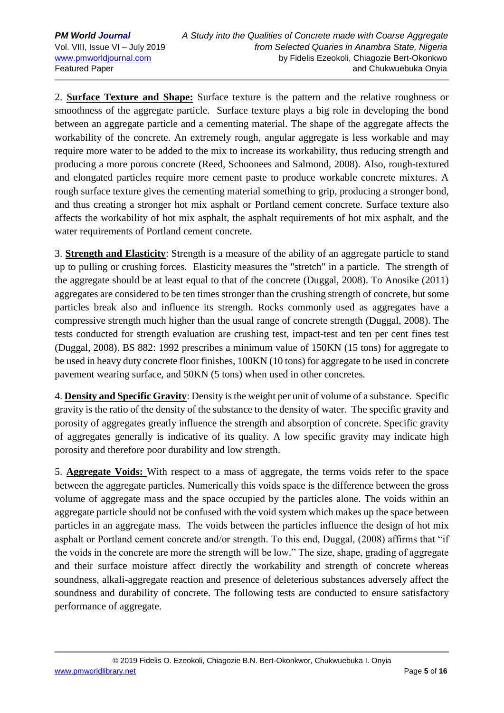2. **Surface Texture and Shape:** Surface texture is the pattern and the relative roughness or smoothness of the aggregate particle. Surface texture plays a big role in developing the bond between an aggregate particle and a cementing material. The shape of the aggregate affects the workability of the concrete. An extremely rough, angular aggregate is less workable and may require more water to be added to the mix to increase its workability, thus reducing strength and producing a more porous concrete (Reed, Schoonees and Salmond, 2008). Also, rough-textured and elongated particles require more cement paste to produce workable concrete mixtures. A rough surface texture gives the cementing material something to grip, producing a stronger bond, and thus creating a stronger hot mix asphalt or Portland cement concrete. Surface texture also affects the workability of hot mix asphalt, the asphalt requirements of hot mix asphalt, and the water requirements of Portland cement concrete.

3. **Strength and Elasticity**: Strength is a measure of the ability of an aggregate particle to stand up to pulling or crushing forces. Elasticity measures the "stretch" in a particle. The strength of the aggregate should be at least equal to that of the concrete (Duggal, 2008). To Anosike (2011) aggregates are considered to be ten times stronger than the crushing strength of concrete, but some particles break also and influence its strength. Rocks commonly used as aggregates have a compressive strength much higher than the usual range of concrete strength (Duggal, 2008). The tests conducted for strength evaluation are crushing test, impact-test and ten per cent fines test (Duggal, 2008). BS 882: 1992 prescribes a minimum value of 150KN (15 tons) for aggregate to be used in heavy duty concrete floor finishes, 100KN (10 tons) for aggregate to be used in concrete pavement wearing surface, and 50KN (5 tons) when used in other concretes.

4. **Density and Specific Gravity**: Density is the weight per unit of volume of a substance. Specific gravity is the ratio of the density of the substance to the density of water. The specific gravity and porosity of aggregates greatly influence the strength and absorption of concrete. Specific gravity of aggregates generally is indicative of its quality. A low specific gravity may indicate high porosity and therefore poor durability and low strength.

5. **Aggregate Voids:** With respect to a mass of aggregate, the terms voids refer to the space between the aggregate particles. Numerically this voids space is the difference between the gross volume of aggregate mass and the space occupied by the particles alone. The voids within an aggregate particle should not be confused with the void system which makes up the space between particles in an aggregate mass. The voids between the particles influence the design of hot mix asphalt or Portland cement concrete and/or strength. To this end, Duggal, (2008) affirms that "if the voids in the concrete are more the strength will be low." The size, shape, grading of aggregate and their surface moisture affect directly the workability and strength of concrete whereas soundness, alkali-aggregate reaction and presence of deleterious substances adversely affect the soundness and durability of concrete. The following tests are conducted to ensure satisfactory performance of aggregate.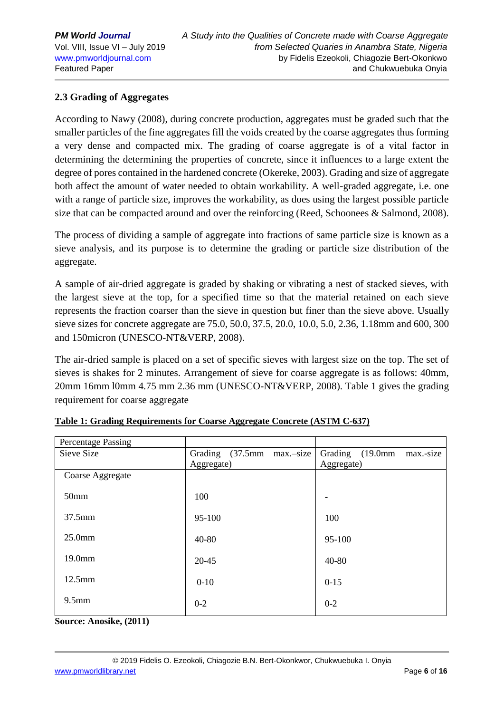# **2.3 Grading of Aggregates**

According to Nawy (2008), during concrete production, aggregates must be graded such that the smaller particles of the fine aggregates fill the voids created by the coarse aggregates thus forming a very dense and compacted mix. The grading of coarse aggregate is of a vital factor in determining the determining the properties of concrete, since it influences to a large extent the degree of pores contained in the hardened concrete (Okereke, 2003). Grading and size of aggregate both affect the amount of water needed to obtain workability. A well-graded aggregate, i.e. one with a range of particle size, improves the workability, as does using the largest possible particle size that can be compacted around and over the reinforcing (Reed, Schoonees & Salmond, 2008).

The process of dividing a sample of aggregate into fractions of same particle size is known as a sieve analysis, and its purpose is to determine the grading or particle size distribution of the aggregate.

A sample of air-dried aggregate is graded by shaking or vibrating a nest of stacked sieves, with the largest sieve at the top, for a specified time so that the material retained on each sieve represents the fraction coarser than the sieve in question but finer than the sieve above. Usually sieve sizes for concrete aggregate are 75.0, 50.0, 37.5, 20.0, 10.0, 5.0, 2.36, 1.18mm and 600, 300 and 150micron (UNESCO-NT&VERP, 2008).

The air-dried sample is placed on a set of specific sieves with largest size on the top. The set of sieves is shakes for 2 minutes. Arrangement of sieve for coarse aggregate is as follows: 40mm, 20mm 16mm l0mm 4.75 mm 2.36 mm (UNESCO-NT&VERP, 2008). Table 1 gives the grading requirement for coarse aggregate

| <b>Percentage Passing</b> |                           |                               |
|---------------------------|---------------------------|-------------------------------|
| Sieve Size                | Grading (37.5mm max.-size | Grading (19.0mm)<br>max.-size |
|                           | Aggregate)                | Aggregate)                    |
| Coarse Aggregate          |                           |                               |
| 50 <sub>mm</sub>          | 100                       |                               |
| 37.5mm                    | 95-100                    | 100                           |
| 25.0 <sub>mm</sub>        | $40 - 80$                 | 95-100                        |
| 19.0mm                    | $20 - 45$                 | 40-80                         |
| $12.5$ mm                 | $0-10$                    | $0 - 15$                      |
| $9.5$ mm                  | $0 - 2$                   | $0 - 2$                       |

**Source: Anosike, (2011)**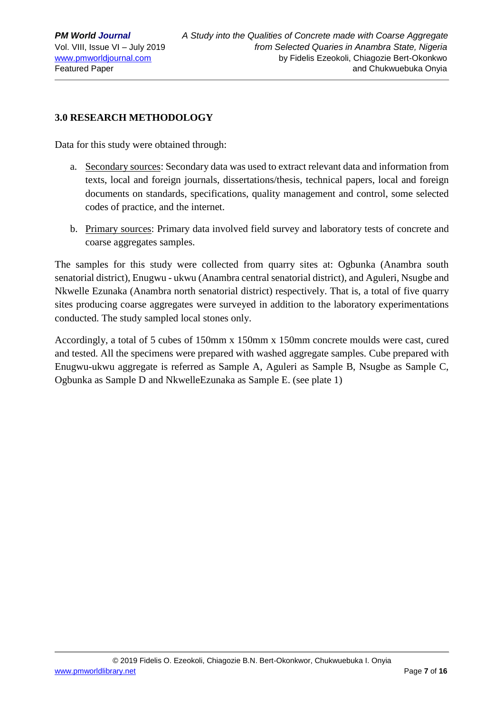# **3.0 RESEARCH METHODOLOGY**

Data for this study were obtained through:

- a. Secondary sources: Secondary data was used to extract relevant data and information from texts, local and foreign journals, dissertations/thesis, technical papers, local and foreign documents on standards, specifications, quality management and control, some selected codes of practice, and the internet.
- b. Primary sources: Primary data involved field survey and laboratory tests of concrete and coarse aggregates samples.

The samples for this study were collected from quarry sites at: Ogbunka (Anambra south senatorial district), Enugwu - ukwu (Anambra central senatorial district), and Aguleri, Nsugbe and Nkwelle Ezunaka (Anambra north senatorial district) respectively. That is, a total of five quarry sites producing coarse aggregates were surveyed in addition to the laboratory experimentations conducted. The study sampled local stones only.

Accordingly, a total of 5 cubes of 150mm x 150mm x 150mm concrete moulds were cast, cured and tested. All the specimens were prepared with washed aggregate samples*.* Cube prepared with Enugwu-ukwu aggregate is referred as Sample A, Aguleri as Sample B, Nsugbe as Sample C, Ogbunka as Sample D and NkwelleEzunaka as Sample E. (see plate 1)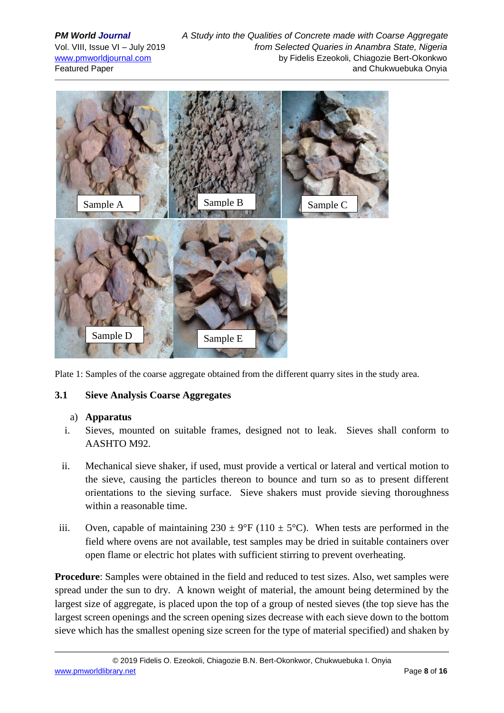

Plate 1: Samples of the coarse aggregate obtained from the different quarry sites in the study area.

### **3.1 Sieve Analysis Coarse Aggregates**

### a) **Apparatus**

- i. Sieves, mounted on suitable frames, designed not to leak. Sieves shall conform to AASHTO M92.
- ii. Mechanical sieve shaker, if used, must provide a vertical or lateral and vertical motion to the sieve, causing the particles thereon to bounce and turn so as to present different orientations to the sieving surface. Sieve shakers must provide sieving thoroughness within a reasonable time.
- iii. Oven, capable of maintaining  $230 \pm 9$ °F (110  $\pm 5$ °C). When tests are performed in the field where ovens are not available, test samples may be dried in suitable containers over open flame or electric hot plates with sufficient stirring to prevent overheating.

**Procedure**: Samples were obtained in the field and reduced to test sizes. Also, wet samples were spread under the sun to dry. A known weight of material, the amount being determined by the largest size of aggregate, is placed upon the top of a group of nested sieves (the top sieve has the largest screen openings and the screen opening sizes decrease with each sieve down to the bottom sieve which has the smallest opening size screen for the type of material specified) and shaken by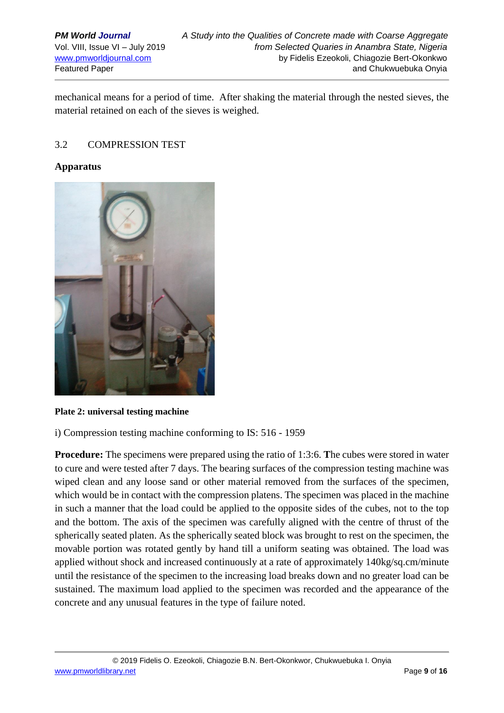mechanical means for a period of time. After shaking the material through the nested sieves, the material retained on each of the sieves is weighed.

### 3.2 COMPRESSION TEST

#### **Apparatus**



**Plate 2: universal testing machine**

i) Compression testing machine conforming to IS: 516 - 1959

**Procedure:** The specimens were prepared using the ratio of 1:3:6. **T**he cubes were stored in water to cure and were tested after 7 days. The bearing surfaces of the compression testing machine was wiped clean and any loose sand or other material removed from the surfaces of the specimen, which would be in contact with the compression platens. The specimen was placed in the machine in such a manner that the load could be applied to the opposite sides of the cubes, not to the top and the bottom. The axis of the specimen was carefully aligned with the centre of thrust of the spherically seated platen. As the spherically seated block was brought to rest on the specimen, the movable portion was rotated gently by hand till a uniform seating was obtained. The load was applied without shock and increased continuously at a rate of approximately 140kg/sq.cm/minute until the resistance of the specimen to the increasing load breaks down and no greater load can be sustained. The maximum load applied to the specimen was recorded and the appearance of the concrete and any unusual features in the type of failure noted.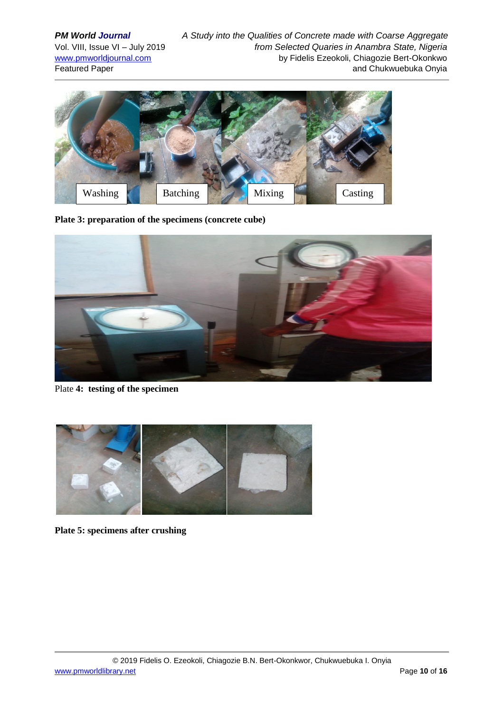**PM World Journal A Study into the Qualities of Concrete made with Coarse Aggregate** Vol. VIII, Issue VI – July 2019 *from Selected Quaries in Anambra State, Nigeria* [www.pmworldjournal.com](http://www.pmworldjournal.com/) by Fidelis Ezeokoli, Chiagozie Bert-Okonkwo Featured Paper and Chukwuebuka Onyia



**Plate 3: preparation of the specimens (concrete cube)**



Plate **4: testing of the specimen**



**Plate 5: specimens after crushing**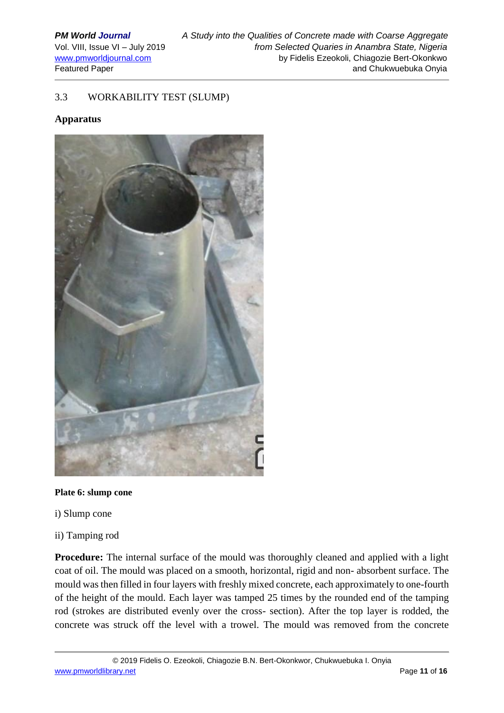### 3.3 WORKABILITY TEST (SLUMP)

#### **Apparatus**



#### **Plate 6: slump cone**

- i) Slump cone
- ii) Tamping rod

**Procedure:** The internal surface of the mould was thoroughly cleaned and applied with a light coat of oil. The mould was placed on a smooth, horizontal, rigid and non- absorbent surface. The mould was then filled in four layers with freshly mixed concrete, each approximately to one-fourth of the height of the mould. Each layer was tamped 25 times by the rounded end of the tamping rod (strokes are distributed evenly over the cross- section). After the top layer is rodded, the concrete was struck off the level with a trowel. The mould was removed from the concrete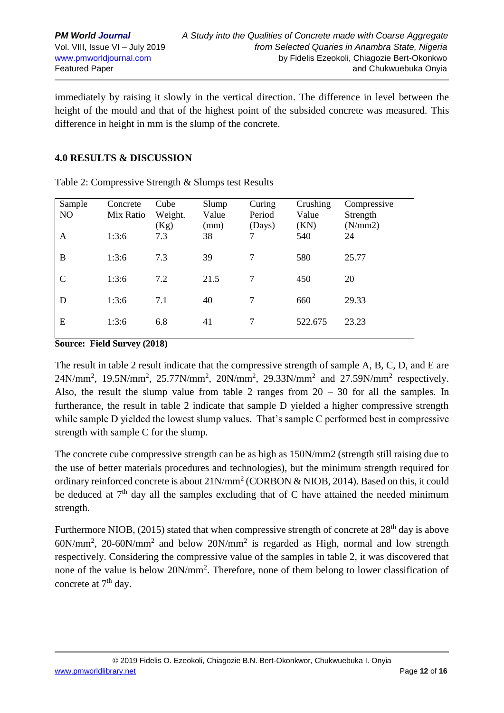immediately by raising it slowly in the vertical direction. The difference in level between the height of the mould and that of the highest point of the subsided concrete was measured. This difference in height in mm is the slump of the concrete.

# **4.0 RESULTS & DISCUSSION**

| Sample<br>NO | Concrete<br>Mix Ratio | Cube<br>Weight.<br>(Kg) | Slump<br>Value<br>(mm) | Curing<br>Period<br>(Days) | Crushing<br>Value<br>(KN) | Compressive<br>Strength<br>(N/mm 2) |
|--------------|-----------------------|-------------------------|------------------------|----------------------------|---------------------------|-------------------------------------|
| A            | 1:3:6                 | 7.3                     | 38                     | 7                          | 540                       | 24                                  |
| B            | 1:3:6                 | 7.3                     | 39                     | 7                          | 580                       | 25.77                               |
| C            | 1:3:6                 | 7.2                     | 21.5                   | 7                          | 450                       | 20                                  |
| D            | 1:3:6                 | 7.1                     | 40                     | 7                          | 660                       | 29.33                               |
| E            | 1:3:6                 | 6.8                     | 41                     | 7                          | 522.675                   | 23.23                               |

Table 2: Compressive Strength & Slumps test Results

**Source: Field Survey (2018)**

The result in table 2 result indicate that the compressive strength of sample A, B, C, D, and E are  $24N/mm^2$ , 19.5N/mm<sup>2</sup>, 25.77N/mm<sup>2</sup>, 20N/mm<sup>2</sup>, 29.33N/mm<sup>2</sup> and 27.59N/mm<sup>2</sup> respectively. Also, the result the slump value from table 2 ranges from  $20 - 30$  for all the samples. In furtherance, the result in table 2 indicate that sample D yielded a higher compressive strength while sample D yielded the lowest slump values. That's sample C performed best in compressive strength with sample C for the slump.

The concrete cube compressive strength can be as high as 150N/mm2 (strength still raising due to the use of better materials procedures and technologies), but the minimum strength required for ordinary reinforced concrete is about  $21$ N/mm<sup>2</sup> (CORBON & NIOB, 2014). Based on this, it could be deduced at  $7<sup>th</sup>$  day all the samples excluding that of C have attained the needed minimum strength.

Furthermore NIOB, (2015) stated that when compressive strength of concrete at  $28<sup>th</sup>$  day is above 60N/mm<sup>2</sup> , 20-60N/mm<sup>2</sup> and below 20N/mm<sup>2</sup> is regarded as High, normal and low strength respectively. Considering the compressive value of the samples in table 2, it was discovered that none of the value is below 20N/mm<sup>2</sup>. Therefore, none of them belong to lower classification of concrete at 7<sup>th</sup> day.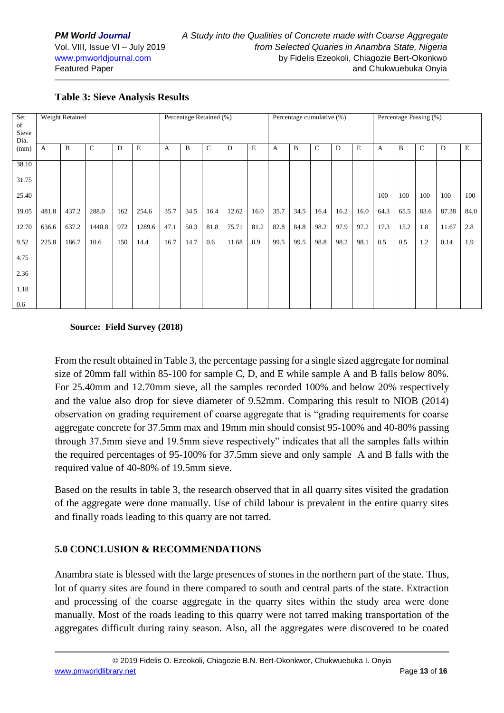| Set<br>of<br>Sieve<br>Dia. | Weight Retained |       |             |     |             | Percentage Retained (%) |      |             |       | Percentage cumulative (%) |      |      |              | Percentage Passing (%) |      |      |      |              |       |             |
|----------------------------|-----------------|-------|-------------|-----|-------------|-------------------------|------|-------------|-------|---------------------------|------|------|--------------|------------------------|------|------|------|--------------|-------|-------------|
| (mm)                       | A               | B     | $\mathbf C$ | D   | $\mathbf E$ | $\mathbf{A}$            | B    | $\mathbf C$ | D     | $\mathbf E$               | A    | B    | $\mathsf{C}$ | D                      | E    | A    | B    | $\mathsf{C}$ | D     | $\mathbf E$ |
| 38.10                      |                 |       |             |     |             |                         |      |             |       |                           |      |      |              |                        |      |      |      |              |       |             |
| 31.75                      |                 |       |             |     |             |                         |      |             |       |                           |      |      |              |                        |      |      |      |              |       |             |
| 25.40                      |                 |       |             |     |             |                         |      |             |       |                           |      |      |              |                        |      | 100  | 100  | 100          | 100   | 100         |
| 19.05                      | 481.8           | 437.2 | 288.0       | 162 | 254.6       | 35.7                    | 34.5 | 16.4        | 12.62 | 16.0                      | 35.7 | 34.5 | 16.4         | 16.2                   | 16.0 | 64.3 | 65.5 | 83.6         | 87.38 | 84.0        |
| 12.70                      | 636.6           | 637.2 | 1440.8      | 972 | 1289.6      | 47.1                    | 50.3 | 81.8        | 75.71 | 81.2                      | 82.8 | 84.8 | 98.2         | 97.9                   | 97.2 | 17.3 | 15.2 | 1.8          | 11.67 | 2.8         |
| 9.52                       | 225.8           | 186.7 | 10.6        | 150 | 14.4        | 16.7                    | 14.7 | 0.6         | 11.68 | 0.9                       | 99.5 | 99.5 | 98.8         | 98.2                   | 98.1 | 0.5  | 0.5  | 1.2          | 0.14  | 1.9         |
| 4.75                       |                 |       |             |     |             |                         |      |             |       |                           |      |      |              |                        |      |      |      |              |       |             |
| 2.36                       |                 |       |             |     |             |                         |      |             |       |                           |      |      |              |                        |      |      |      |              |       |             |
| 1.18                       |                 |       |             |     |             |                         |      |             |       |                           |      |      |              |                        |      |      |      |              |       |             |
| 0.6                        |                 |       |             |     |             |                         |      |             |       |                           |      |      |              |                        |      |      |      |              |       |             |

# **Table 3: Sieve Analysis Results**

### **Source: Field Survey (2018)**

From the result obtained in Table 3, the percentage passing for a single sized aggregate for nominal size of 20mm fall within 85-100 for sample C, D, and E while sample A and B falls below 80%. For 25.40mm and 12.70mm sieve, all the samples recorded 100% and below 20% respectively and the value also drop for sieve diameter of 9.52mm. Comparing this result to NIOB (2014) observation on grading requirement of coarse aggregate that is "grading requirements for coarse aggregate concrete for 37.5mm max and 19mm min should consist 95-100% and 40-80% passing through 37.5mm sieve and 19.5mm sieve respectively" indicates that all the samples falls within the required percentages of 95-100% for 37.5mm sieve and only sample A and B falls with the required value of 40-80% of 19.5mm sieve.

Based on the results in table 3, the research observed that in all quarry sites visited the gradation of the aggregate were done manually. Use of child labour is prevalent in the entire quarry sites and finally roads leading to this quarry are not tarred.

### **5.0 CONCLUSION & RECOMMENDATIONS**

Anambra state is blessed with the large presences of stones in the northern part of the state. Thus, lot of quarry sites are found in there compared to south and central parts of the state. Extraction and processing of the coarse aggregate in the quarry sites within the study area were done manually. Most of the roads leading to this quarry were not tarred making transportation of the aggregates difficult during rainy season. Also, all the aggregates were discovered to be coated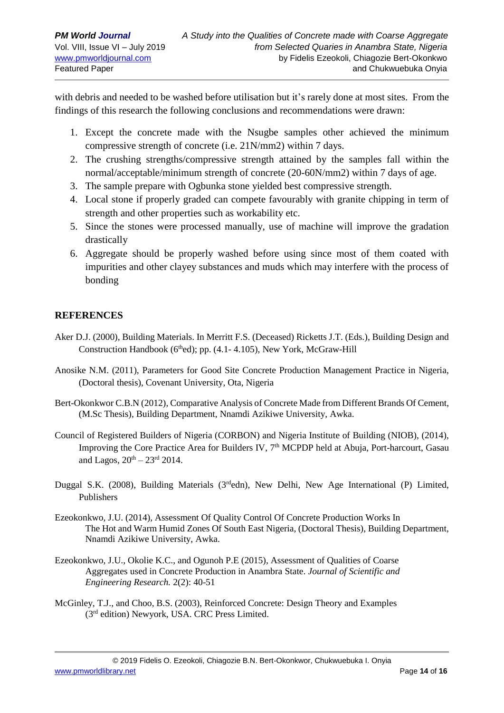with debris and needed to be washed before utilisation but it's rarely done at most sites. From the findings of this research the following conclusions and recommendations were drawn:

- 1. Except the concrete made with the Nsugbe samples other achieved the minimum compressive strength of concrete (i.e. 21N/mm2) within 7 days.
- 2. The crushing strengths/compressive strength attained by the samples fall within the normal/acceptable/minimum strength of concrete (20-60N/mm2) within 7 days of age.
- 3. The sample prepare with Ogbunka stone yielded best compressive strength.
- 4. Local stone if properly graded can compete favourably with granite chipping in term of strength and other properties such as workability etc.
- 5. Since the stones were processed manually, use of machine will improve the gradation drastically
- 6. Aggregate should be properly washed before using since most of them coated with impurities and other clayey substances and muds which may interfere with the process of bonding

# **REFERENCES**

- Aker D.J. (2000), Building Materials. In Merritt F.S. (Deceased) Ricketts J.T. (Eds.), Building Design and Construction Handbook ( $6<sup>th</sup>ed$ ); pp. (4.1-4.105), New York, McGraw-Hill
- Anosike N.M. (2011), Parameters for Good Site Concrete Production Management Practice in Nigeria, (Doctoral thesis), Covenant University, Ota, Nigeria
- Bert-Okonkwor C.B.N (2012), Comparative Analysis of Concrete Made from Different Brands Of Cement, (M.Sc Thesis), Building Department, Nnamdi Azikiwe University, Awka.
- Council of Registered Builders of Nigeria (CORBON) and Nigeria Institute of Building (NIOB), (2014), Improving the Core Practice Area for Builders IV, 7<sup>th</sup> MCPDP held at Abuja, Port-harcourt, Gasau and Lagos,  $20^{th} - 23^{rd}$  2014.
- Duggal S.K. (2008), Building Materials ( $3<sup>rd</sup>$ edn), New Delhi, New Age International (P) Limited, Publishers
- Ezeokonkwo, J.U. (2014), Assessment Of Quality Control Of Concrete Production Works In The Hot and Warm Humid Zones Of South East Nigeria, (Doctoral Thesis), Building Department, Nnamdi Azikiwe University, Awka.
- Ezeokonkwo, J.U., Okolie K.C., and Ogunoh P.E (2015), Assessment of Qualities of Coarse Aggregates used in Concrete Production in Anambra State. *Journal of Scientific and Engineering Research.* 2(2): 40-51
- McGinley, T.J., and Choo, B.S. (2003), Reinforced Concrete: Design Theory and Examples (3rd edition) Newyork, USA. CRC Press Limited.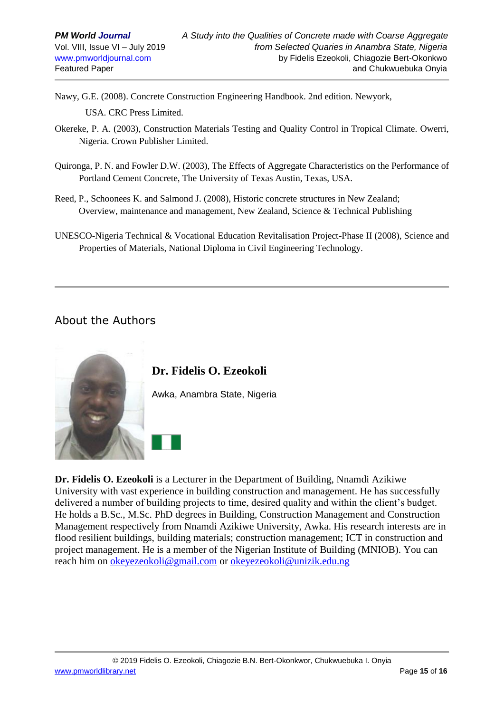Nawy, G.E. (2008). Concrete Construction Engineering Handbook. 2nd edition. Newyork,

USA. CRC Press Limited.

- Okereke, P. A. (2003), Construction Materials Testing and Quality Control in Tropical Climate. Owerri, Nigeria. Crown Publisher Limited.
- Quironga, P. N. and Fowler D.W. (2003), The Effects of Aggregate Characteristics on the Performance of Portland Cement Concrete, The University of Texas Austin, Texas, USA.
- Reed, P., Schoonees K. and Salmond J. (2008), Historic concrete structures in New Zealand; Overview, maintenance and management, New Zealand, Science & Technical Publishing
- UNESCO-Nigeria Technical & Vocational Education Revitalisation Project-Phase II (2008), Science and Properties of Materials, National Diploma in Civil Engineering Technology.

# About the Authors



**Dr. Fidelis O. Ezeokoli**

Awka, Anambra State, Nigeria

**Dr. Fidelis O. Ezeokoli** is a Lecturer in the Department of Building, Nnamdi Azikiwe University with vast experience in building construction and management. He has successfully delivered a number of building projects to time, desired quality and within the client's budget. He holds a B.Sc., M.Sc. PhD degrees in Building, Construction Management and Construction Management respectively from Nnamdi Azikiwe University, Awka. His research interests are in flood resilient buildings, building materials; construction management; ICT in construction and project management. He is a member of the Nigerian Institute of Building (MNIOB). You can reach him on [okeyezeokoli@gmail.com](mailto:okeyezeokoli@gmail.com) or [okeyezeokoli@unizik.edu.ng](mailto:okeyezeokoli@unizik.edu.ng)